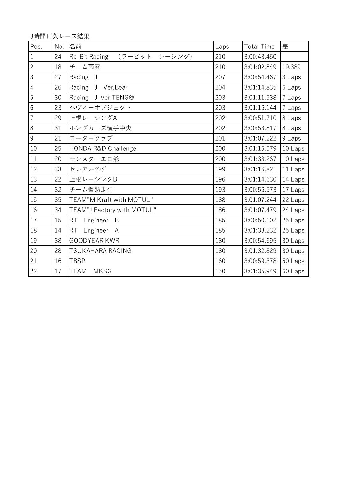3時間耐久レース結果

| Pos.           | No. | 名前                             | Laps | <b>Total Time</b> | 差       |
|----------------|-----|--------------------------------|------|-------------------|---------|
| $\overline{1}$ | 24  | (ラービット レーシング)<br>Ra-Bit Racing | 210  | 3:00:43.460       |         |
| $\sqrt{2}$     | 18  | チーム雨雲                          | 210  | 3:01:02.849       | 19.389  |
| $\overline{3}$ | 27  | Racing J                       | 207  | 3:00:54.467       | 3 Laps  |
| $\sqrt{4}$     | 26  | Racing J Ver. Bear             | 204  | 3:01:14.835       | 6 Laps  |
| 5              | 30  | Racing J Ver.TENG@             | 203  | 3:01:11.538       | 7 Laps  |
| $6\phantom{a}$ | 23  | ヘヴィーオブジェクト                     | 203  | 3:01:16.144       | 7 Laps  |
| $\overline{7}$ | 29  | 上根レーシングA                       | 202  | 3:00:51.710       | 8 Laps  |
| 8              | 31  | ホンダカーズ横手中央                     | 202  | 3:00:53.817       | 8 Laps  |
| $\overline{9}$ | 21  | モータークラブ                        | 201  | 3:01:07.222       | 9 Laps  |
| 10             | 25  | <b>HONDA R&amp;D Challenge</b> | 200  | 3:01:15.579       | 10 Laps |
| 11             | 20  | モンスターエロ爺                       | 200  | 3:01:33.267       | 10 Laps |
| 12             | 33  | セレアレーシング                       | 199  | 3:01:16.821       | 11 Laps |
| 13             | 22  | 上根レーシングB                       | 196  | 3:01:14.630       | 14 Laps |
| 14             | 32  | チーム慣熟走行                        | 193  | 3:00:56.573       | 17 Laps |
| 15             | 35  | TEAM"M Kraft with MOTUL"       | 188  | 3:01:07.244       | 22 Laps |
| 16             | 34  | TEAM"J Factory with MOTUL"     | 186  | 3:01:07.479       | 24 Laps |
| 17             | 15  | RT<br>Engineer B               | 185  | 3:00:50.102       | 25 Laps |
| 18             | 14  | <b>RT</b><br>Engineer A        | 185  | 3:01:33.232       | 25 Laps |
| 19             | 38  | <b>GOODYEAR KWR</b>            | 180  | 3:00:54.695       | 30 Laps |
| 20             | 28  | <b>TSUKAHARA RACING</b>        | 180  | 3:01:32.829       | 30 Laps |
| 21             | 16  | <b>TBSP</b>                    | 160  | 3:00:59.378       | 50 Laps |
| $22\,$         | 17  | <b>TEAM</b><br><b>MKSG</b>     | 150  | 3:01:35.949       | 60 Laps |